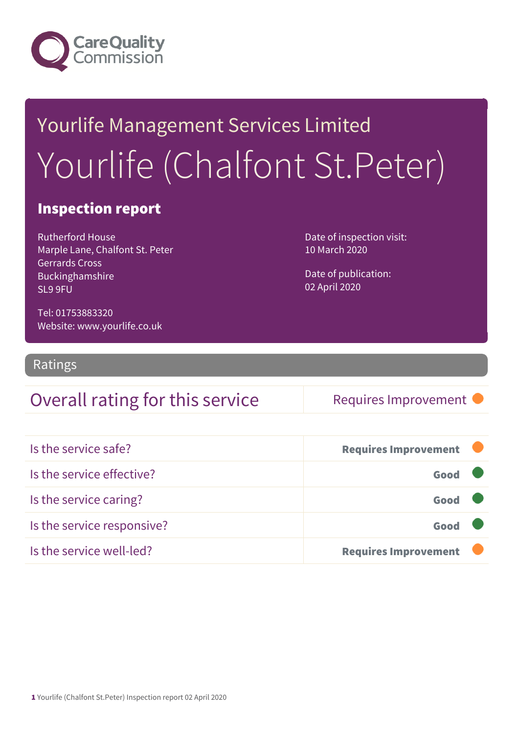

# Yourlife Management Services Limited Yourlife (Chalfont St.Peter)

### Inspection report

Rutherford House Marple Lane, Chalfont St. Peter Gerrards Cross Buckinghamshire SL9 9FU

Date of inspection visit: 10 March 2020

Date of publication: 02 April 2020

Tel: 01753883320 Website: www.yourlife.co.uk

Ratings

### Overall rating for this service | Requires Improvement

| Is the service safe?       | <b>Requires Improvement</b> |  |
|----------------------------|-----------------------------|--|
| Is the service effective?  | Good                        |  |
| Is the service caring?     | Good                        |  |
| Is the service responsive? | Good                        |  |
| Is the service well-led?   | <b>Requires Improvement</b> |  |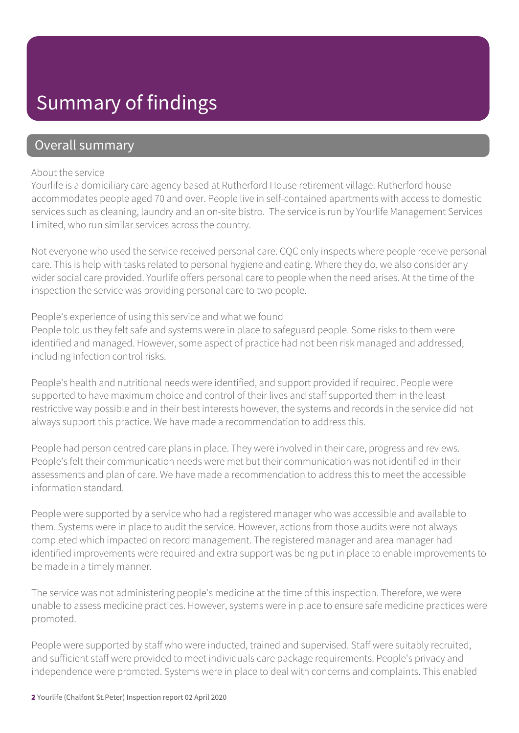### Summary of findings

### Overall summary

#### About the service

Yourlife is a domiciliary care agency based at Rutherford House retirement village. Rutherford house accommodates people aged 70 and over. People live in self-contained apartments with access to domestic services such as cleaning, laundry and an on-site bistro. The service is run by Yourlife Management Services Limited, who run similar services across the country.

Not everyone who used the service received personal care. CQC only inspects where people receive personal care. This is help with tasks related to personal hygiene and eating. Where they do, we also consider any wider social care provided. Yourlife offers personal care to people when the need arises. At the time of the inspection the service was providing personal care to two people.

#### People's experience of using this service and what we found

People told us they felt safe and systems were in place to safeguard people. Some risks to them were identified and managed. However, some aspect of practice had not been risk managed and addressed, including Infection control risks.

People's health and nutritional needs were identified, and support provided if required. People were supported to have maximum choice and control of their lives and staff supported them in the least restrictive way possible and in their best interests however, the systems and records in the service did not always support this practice. We have made a recommendation to address this.

People had person centred care plans in place. They were involved in their care, progress and reviews. People's felt their communication needs were met but their communication was not identified in their assessments and plan of care. We have made a recommendation to address this to meet the accessible information standard.

People were supported by a service who had a registered manager who was accessible and available to them. Systems were in place to audit the service. However, actions from those audits were not always completed which impacted on record management. The registered manager and area manager had identified improvements were required and extra support was being put in place to enable improvements to be made in a timely manner.

The service was not administering people's medicine at the time of this inspection. Therefore, we were unable to assess medicine practices. However, systems were in place to ensure safe medicine practices were promoted.

People were supported by staff who were inducted, trained and supervised. Staff were suitably recruited, and sufficient staff were provided to meet individuals care package requirements. People's privacy and independence were promoted. Systems were in place to deal with concerns and complaints. This enabled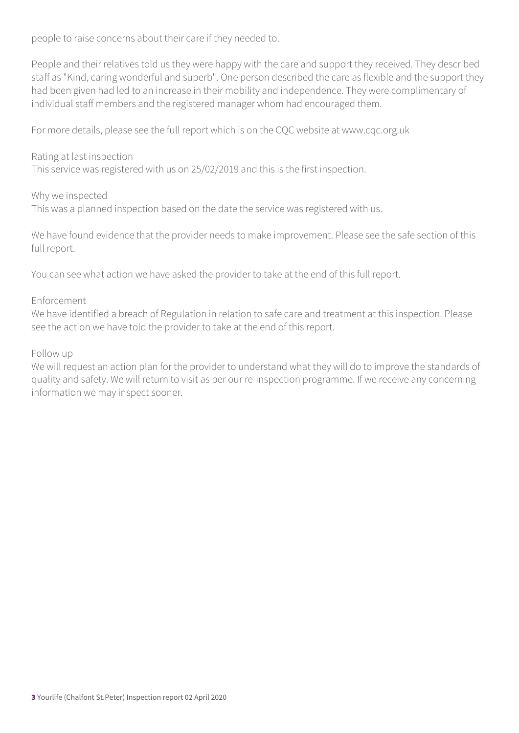people to raise concerns about their care if they needed to.

People and their relatives told us they were happy with the care and support they received. They described staff as "Kind, caring wonderful and superb". One person described the care as flexible and the support they had been given had led to an increase in their mobility and independence. They were complimentary of individual staff members and the registered manager whom had encouraged them.

For more details, please see the full report which is on the CQC website at www.cqc.org.uk

#### Rating at last inspection

This service was registered with us on 25/02/2019 and this is the first inspection.

#### Why we inspected

This was a planned inspection based on the date the service was registered with us.

We have found evidence that the provider needs to make improvement. Please see the safe section of this full report.

You can see what action we have asked the provider to take at the end of this full report.

#### Enforcement

We have identified a breach of Regulation in relation to safe care and treatment at this inspection. Please see the action we have told the provider to take at the end of this report.

#### Follow up

We will request an action plan for the provider to understand what they will do to improve the standards of quality and safety. We will return to visit as per our re-inspection programme. If we receive any concerning information we may inspect sooner.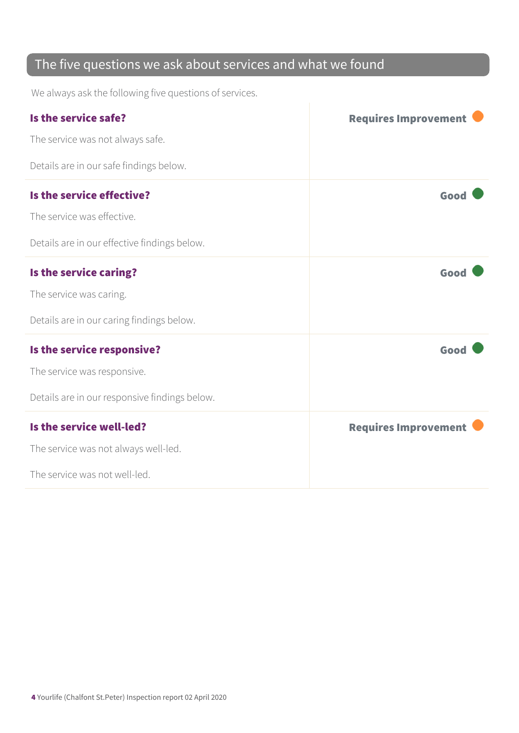### The five questions we ask about services and what we found

We always ask the following five questions of services.

| Is the service safe?                          | <b>Requires Improvement</b> |
|-----------------------------------------------|-----------------------------|
| The service was not always safe.              |                             |
| Details are in our safe findings below.       |                             |
| Is the service effective?                     | Good                        |
| The service was effective.                    |                             |
| Details are in our effective findings below.  |                             |
| Is the service caring?                        | Good                        |
| The service was caring.                       |                             |
| Details are in our caring findings below.     |                             |
| Is the service responsive?                    | Good                        |
| The service was responsive.                   |                             |
| Details are in our responsive findings below. |                             |
| Is the service well-led?                      | <b>Requires Improvement</b> |
| The service was not always well-led.          |                             |
| The service was not well-led.                 |                             |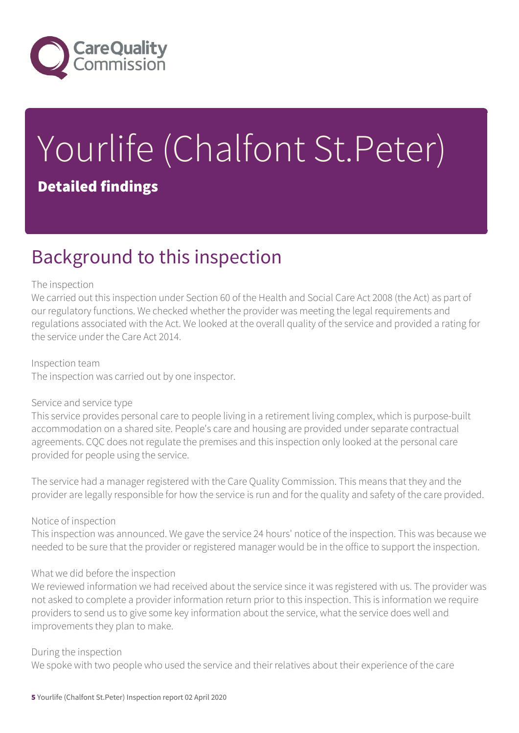

# Yourlife (Chalfont St.Peter) Detailed findings

### Background to this inspection

#### The inspection

We carried out this inspection under Section 60 of the Health and Social Care Act 2008 (the Act) as part of our regulatory functions. We checked whether the provider was meeting the legal requirements and regulations associated with the Act. We looked at the overall quality of the service and provided a rating for the service under the Care Act 2014.

Inspection team The inspection was carried out by one inspector.

#### Service and service type

This service provides personal care to people living in a retirement living complex, which is purpose-built accommodation on a shared site. People's care and housing are provided under separate contractual agreements. CQC does not regulate the premises and this inspection only looked at the personal care provided for people using the service.

The service had a manager registered with the Care Quality Commission. This means that they and the provider are legally responsible for how the service is run and for the quality and safety of the care provided.

#### Notice of inspection

This inspection was announced. We gave the service 24 hours' notice of the inspection. This was because we needed to be sure that the provider or registered manager would be in the office to support the inspection.

#### What we did before the inspection

We reviewed information we had received about the service since it was registered with us. The provider was not asked to complete a provider information return prior to this inspection. This is information we require providers to send us to give some key information about the service, what the service does well and improvements they plan to make.

#### During the inspection

We spoke with two people who used the service and their relatives about their experience of the care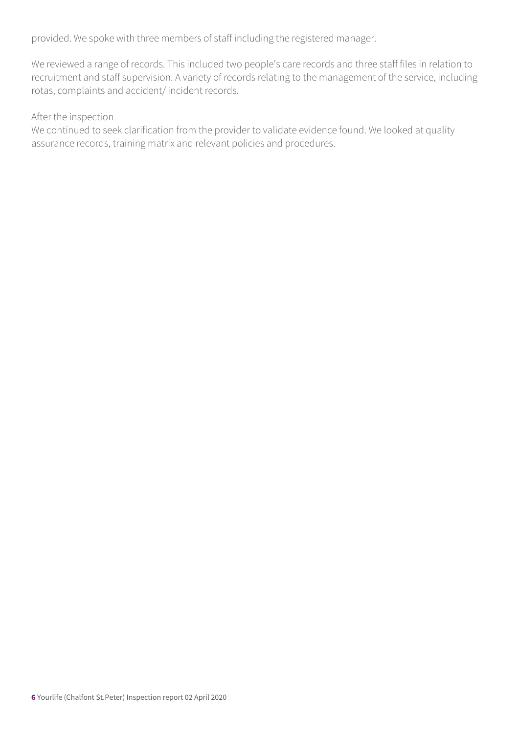provided. We spoke with three members of staff including the registered manager.

We reviewed a range of records. This included two people's care records and three staff files in relation to recruitment and staff supervision. A variety of records relating to the management of the service, including rotas, complaints and accident/ incident records.

#### After the inspection

We continued to seek clarification from the provider to validate evidence found. We looked at quality assurance records, training matrix and relevant policies and procedures.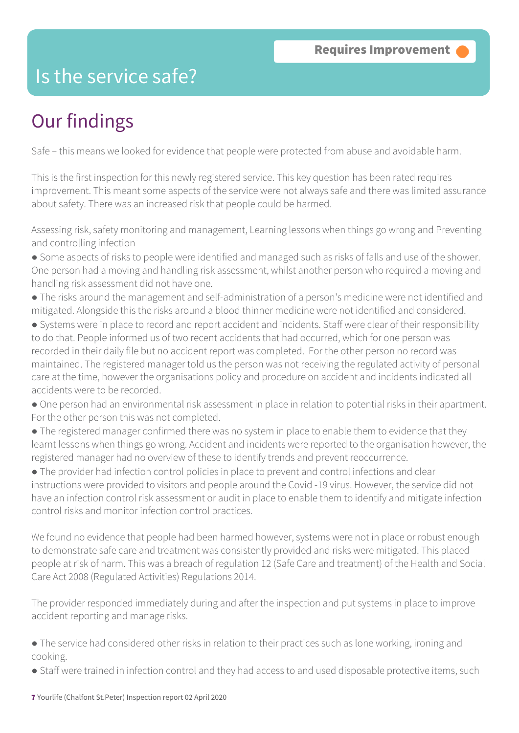### Is the service safe?

## Our findings

Safe – this means we looked for evidence that people were protected from abuse and avoidable harm.

This is the first inspection for this newly registered service. This key question has been rated requires improvement. This meant some aspects of the service were not always safe and there was limited assurance about safety. There was an increased risk that people could be harmed.

Assessing risk, safety monitoring and management, Learning lessons when things go wrong and Preventing and controlling infection

- Some aspects of risks to people were identified and managed such as risks of falls and use of the shower. One person had a moving and handling risk assessment, whilst another person who required a moving and handling risk assessment did not have one.
- The risks around the management and self-administration of a person's medicine were not identified and mitigated. Alongside this the risks around a blood thinner medicine were not identified and considered.
- Systems were in place to record and report accident and incidents. Staff were clear of their responsibility to do that. People informed us of two recent accidents that had occurred, which for one person was recorded in their daily file but no accident report was completed. For the other person no record was maintained. The registered manager told us the person was not receiving the regulated activity of personal care at the time, however the organisations policy and procedure on accident and incidents indicated all accidents were to be recorded.
- One person had an environmental risk assessment in place in relation to potential risks in their apartment. For the other person this was not completed.
- The registered manager confirmed there was no system in place to enable them to evidence that they learnt lessons when things go wrong. Accident and incidents were reported to the organisation however, the registered manager had no overview of these to identify trends and prevent reoccurrence.

● The provider had infection control policies in place to prevent and control infections and clear instructions were provided to visitors and people around the Covid -19 virus. However, the service did not have an infection control risk assessment or audit in place to enable them to identify and mitigate infection control risks and monitor infection control practices.

We found no evidence that people had been harmed however, systems were not in place or robust enough to demonstrate safe care and treatment was consistently provided and risks were mitigated. This placed people at risk of harm. This was a breach of regulation 12 (Safe Care and treatment) of the Health and Social Care Act 2008 (Regulated Activities) Regulations 2014.

The provider responded immediately during and after the inspection and put systems in place to improve accident reporting and manage risks.

- The service had considered other risks in relation to their practices such as lone working, ironing and cooking.
- Staff were trained in infection control and they had access to and used disposable protective items, such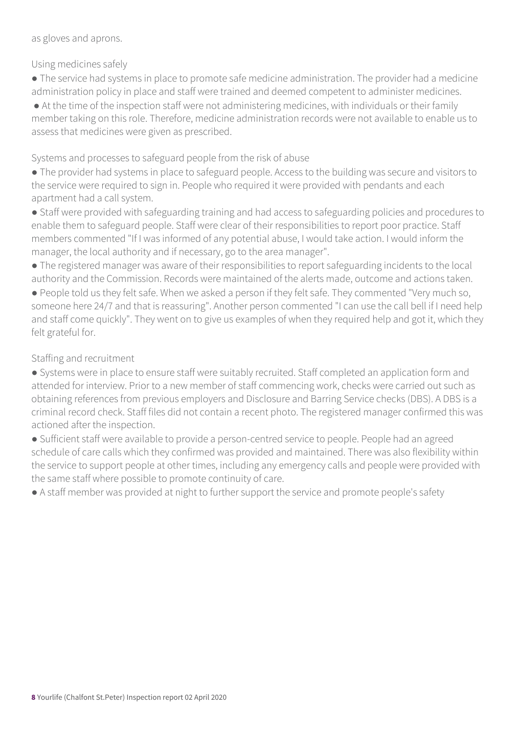as gloves and aprons.

Using medicines safely

● The service had systems in place to promote safe medicine administration. The provider had a medicine administration policy in place and staff were trained and deemed competent to administer medicines.

● At the time of the inspection staff were not administering medicines, with individuals or their family member taking on this role. Therefore, medicine administration records were not available to enable us to assess that medicines were given as prescribed.

Systems and processes to safeguard people from the risk of abuse

● The provider had systems in place to safeguard people. Access to the building was secure and visitors to the service were required to sign in. People who required it were provided with pendants and each apartment had a call system.

● Staff were provided with safeguarding training and had access to safeguarding policies and procedures to enable them to safeguard people. Staff were clear of their responsibilities to report poor practice. Staff members commented "If I was informed of any potential abuse, I would take action. I would inform the manager, the local authority and if necessary, go to the area manager".

● The registered manager was aware of their responsibilities to report safeguarding incidents to the local authority and the Commission. Records were maintained of the alerts made, outcome and actions taken.

● People told us they felt safe. When we asked a person if they felt safe. They commented "Very much so, someone here 24/7 and that is reassuring". Another person commented "I can use the call bell if I need help and staff come quickly". They went on to give us examples of when they required help and got it, which they felt grateful for.

Staffing and recruitment

● Systems were in place to ensure staff were suitably recruited. Staff completed an application form and attended for interview. Prior to a new member of staff commencing work, checks were carried out such as obtaining references from previous employers and Disclosure and Barring Service checks (DBS). A DBS is a criminal record check. Staff files did not contain a recent photo. The registered manager confirmed this was actioned after the inspection.

● Sufficient staff were available to provide a person-centred service to people. People had an agreed schedule of care calls which they confirmed was provided and maintained. There was also flexibility within the service to support people at other times, including any emergency calls and people were provided with the same staff where possible to promote continuity of care.

● A staff member was provided at night to further support the service and promote people's safety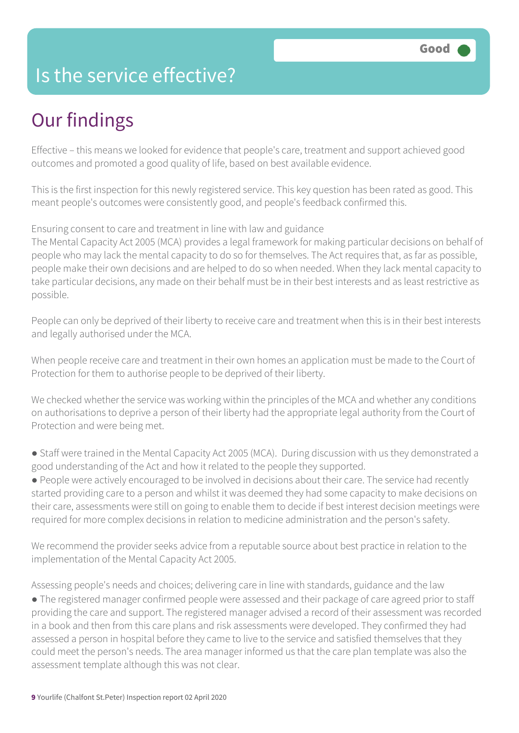### Is the service effective?

## Our findings

Effective – this means we looked for evidence that people's care, treatment and support achieved good outcomes and promoted a good quality of life, based on best available evidence.

This is the first inspection for this newly registered service. This key question has been rated as good. This meant people's outcomes were consistently good, and people's feedback confirmed this.

#### Ensuring consent to care and treatment in line with law and guidance

The Mental Capacity Act 2005 (MCA) provides a legal framework for making particular decisions on behalf of people who may lack the mental capacity to do so for themselves. The Act requires that, as far as possible, people make their own decisions and are helped to do so when needed. When they lack mental capacity to take particular decisions, any made on their behalf must be in their best interests and as least restrictive as possible.

People can only be deprived of their liberty to receive care and treatment when this is in their best interests and legally authorised under the MCA.

When people receive care and treatment in their own homes an application must be made to the Court of Protection for them to authorise people to be deprived of their liberty.

We checked whether the service was working within the principles of the MCA and whether any conditions on authorisations to deprive a person of their liberty had the appropriate legal authority from the Court of Protection and were being met.

● Staff were trained in the Mental Capacity Act 2005 (MCA). During discussion with us they demonstrated a good understanding of the Act and how it related to the people they supported.

● People were actively encouraged to be involved in decisions about their care. The service had recently started providing care to a person and whilst it was deemed they had some capacity to make decisions on their care, assessments were still on going to enable them to decide if best interest decision meetings were required for more complex decisions in relation to medicine administration and the person's safety.

We recommend the provider seeks advice from a reputable source about best practice in relation to the implementation of the Mental Capacity Act 2005.

Assessing people's needs and choices; delivering care in line with standards, guidance and the law

● The registered manager confirmed people were assessed and their package of care agreed prior to staff providing the care and support. The registered manager advised a record of their assessment was recorded in a book and then from this care plans and risk assessments were developed. They confirmed they had assessed a person in hospital before they came to live to the service and satisfied themselves that they could meet the person's needs. The area manager informed us that the care plan template was also the assessment template although this was not clear.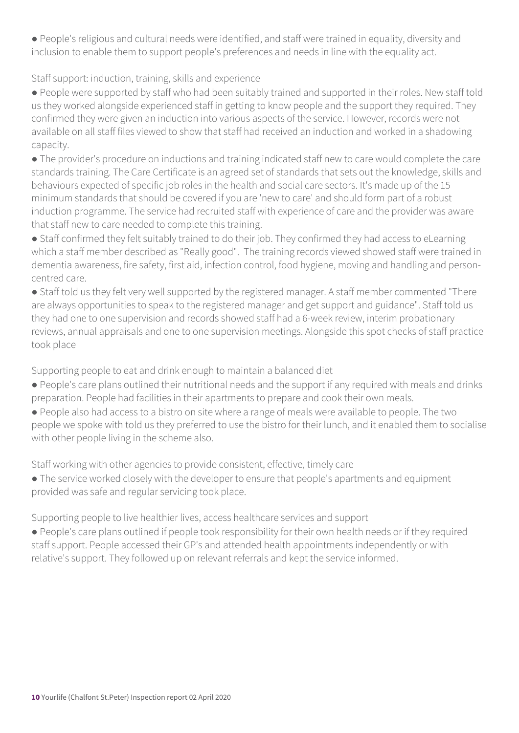● People's religious and cultural needs were identified, and staff were trained in equality, diversity and inclusion to enable them to support people's preferences and needs in line with the equality act.

#### Staff support: induction, training, skills and experience

● People were supported by staff who had been suitably trained and supported in their roles. New staff told us they worked alongside experienced staff in getting to know people and the support they required. They confirmed they were given an induction into various aspects of the service. However, records were not available on all staff files viewed to show that staff had received an induction and worked in a shadowing capacity.

● The provider's procedure on inductions and training indicated staff new to care would complete the care standards training. The Care Certificate is an agreed set of standards that sets out the knowledge, skills and behaviours expected of specific job roles in the health and social care sectors. It's made up of the 15 minimum standards that should be covered if you are 'new to care' and should form part of a robust induction programme. The service had recruited staff with experience of care and the provider was aware that staff new to care needed to complete this training.

• Staff confirmed they felt suitably trained to do their job. They confirmed they had access to eLearning which a staff member described as "Really good". The training records viewed showed staff were trained in dementia awareness, fire safety, first aid, infection control, food hygiene, moving and handling and personcentred care.

● Staff told us they felt very well supported by the registered manager. A staff member commented "There are always opportunities to speak to the registered manager and get support and guidance". Staff told us they had one to one supervision and records showed staff had a 6-week review, interim probationary reviews, annual appraisals and one to one supervision meetings. Alongside this spot checks of staff practice took place

Supporting people to eat and drink enough to maintain a balanced diet

- People's care plans outlined their nutritional needs and the support if any required with meals and drinks preparation. People had facilities in their apartments to prepare and cook their own meals.
- People also had access to a bistro on site where a range of meals were available to people. The two people we spoke with told us they preferred to use the bistro for their lunch, and it enabled them to socialise with other people living in the scheme also.

Staff working with other agencies to provide consistent, effective, timely care

● The service worked closely with the developer to ensure that people's apartments and equipment provided was safe and regular servicing took place.

Supporting people to live healthier lives, access healthcare services and support

● People's care plans outlined if people took responsibility for their own health needs or if they required staff support. People accessed their GP's and attended health appointments independently or with relative's support. They followed up on relevant referrals and kept the service informed.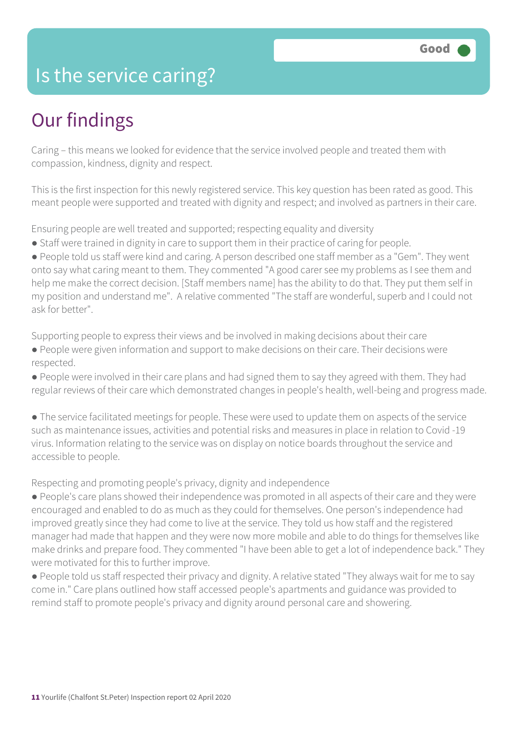### Is the service caring?

## Our findings

Caring – this means we looked for evidence that the service involved people and treated them with compassion, kindness, dignity and respect.

This is the first inspection for this newly registered service. This key question has been rated as good. This meant people were supported and treated with dignity and respect; and involved as partners in their care.

Ensuring people are well treated and supported; respecting equality and diversity

● Staff were trained in dignity in care to support them in their practice of caring for people.

● People told us staff were kind and caring. A person described one staff member as a "Gem". They went onto say what caring meant to them. They commented "A good carer see my problems as I see them and help me make the correct decision. [Staff members name] has the ability to do that. They put them self in my position and understand me". A relative commented "The staff are wonderful, superb and I could not ask for better".

Supporting people to express their views and be involved in making decisions about their care ● People were given information and support to make decisions on their care. Their decisions were respected.

● People were involved in their care plans and had signed them to say they agreed with them. They had regular reviews of their care which demonstrated changes in people's health, well-being and progress made.

● The service facilitated meetings for people. These were used to update them on aspects of the service such as maintenance issues, activities and potential risks and measures in place in relation to Covid -19 virus. Information relating to the service was on display on notice boards throughout the service and accessible to people.

Respecting and promoting people's privacy, dignity and independence

● People's care plans showed their independence was promoted in all aspects of their care and they were encouraged and enabled to do as much as they could for themselves. One person's independence had improved greatly since they had come to live at the service. They told us how staff and the registered manager had made that happen and they were now more mobile and able to do things for themselves like make drinks and prepare food. They commented "I have been able to get a lot of independence back." They were motivated for this to further improve.

● People told us staff respected their privacy and dignity. A relative stated "They always wait for me to say come in." Care plans outlined how staff accessed people's apartments and guidance was provided to remind staff to promote people's privacy and dignity around personal care and showering.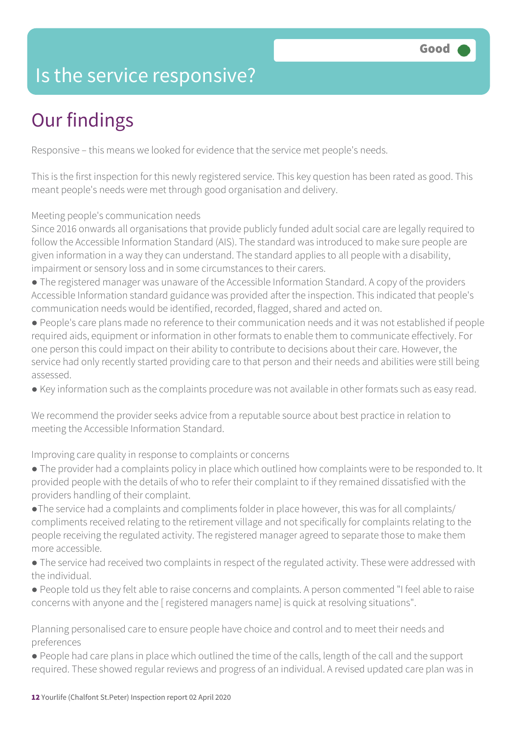### Is the service responsive?

# Our findings

Responsive – this means we looked for evidence that the service met people's needs.

This is the first inspection for this newly registered service. This key question has been rated as good. This meant people's needs were met through good organisation and delivery.

Meeting people's communication needs

Since 2016 onwards all organisations that provide publicly funded adult social care are legally required to follow the Accessible Information Standard (AIS). The standard was introduced to make sure people are given information in a way they can understand. The standard applies to all people with a disability, impairment or sensory loss and in some circumstances to their carers.

- The registered manager was unaware of the Accessible Information Standard. A copy of the providers Accessible Information standard guidance was provided after the inspection. This indicated that people's communication needs would be identified, recorded, flagged, shared and acted on.
- People's care plans made no reference to their communication needs and it was not established if people required aids, equipment or information in other formats to enable them to communicate effectively. For one person this could impact on their ability to contribute to decisions about their care. However, the service had only recently started providing care to that person and their needs and abilities were still being assessed.
- Key information such as the complaints procedure was not available in other formats such as easy read.

We recommend the provider seeks advice from a reputable source about best practice in relation to meeting the Accessible Information Standard.

Improving care quality in response to complaints or concerns

- The provider had a complaints policy in place which outlined how complaints were to be responded to. It provided people with the details of who to refer their complaint to if they remained dissatisfied with the providers handling of their complaint.
- ●The service had a complaints and compliments folder in place however, this was for all complaints/ compliments received relating to the retirement village and not specifically for complaints relating to the people receiving the regulated activity. The registered manager agreed to separate those to make them more accessible.
- The service had received two complaints in respect of the regulated activity. These were addressed with the individual.
- People told us they felt able to raise concerns and complaints. A person commented "I feel able to raise concerns with anyone and the [ registered managers name] is quick at resolving situations".

Planning personalised care to ensure people have choice and control and to meet their needs and preferences

● People had care plans in place which outlined the time of the calls, length of the call and the support required. These showed regular reviews and progress of an individual. A revised updated care plan was in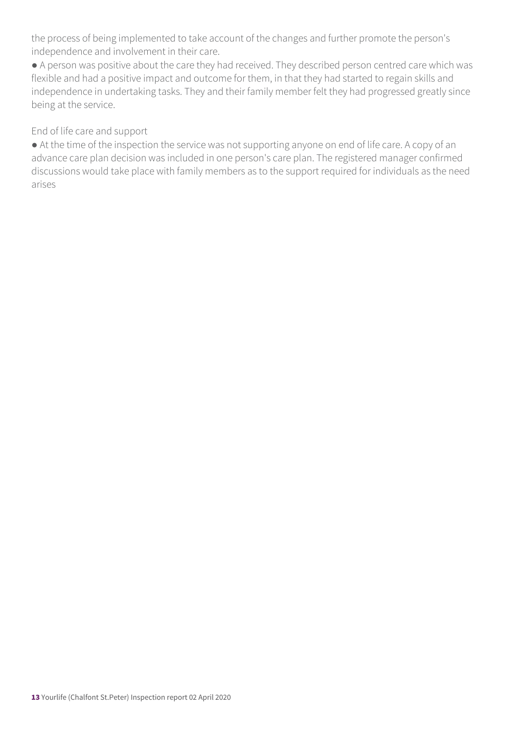the process of being implemented to take account of the changes and further promote the person's independence and involvement in their care.

● A person was positive about the care they had received. They described person centred care which was flexible and had a positive impact and outcome for them, in that they had started to regain skills and independence in undertaking tasks. They and their family member felt they had progressed greatly since being at the service.

End of life care and support

● At the time of the inspection the service was not supporting anyone on end of life care. A copy of an advance care plan decision was included in one person's care plan. The registered manager confirmed discussions would take place with family members as to the support required for individuals as the need arises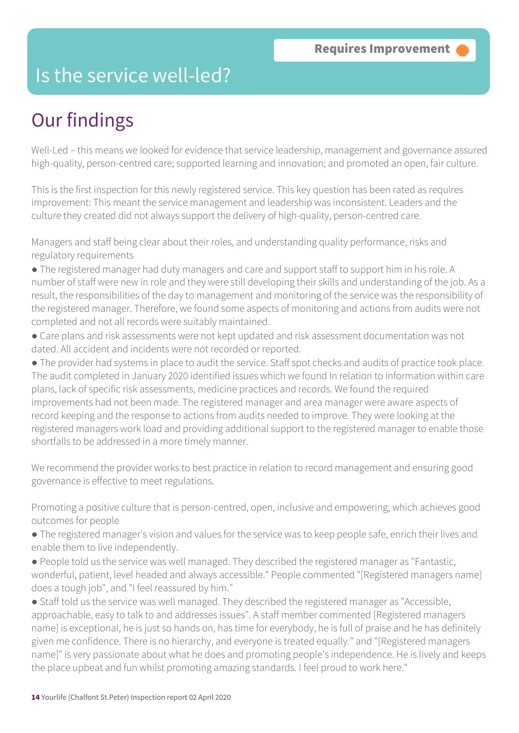### Is the service well-led?

## Our findings

Well-Led – this means we looked for evidence that service leadership, management and governance assured high-quality, person-centred care; supported learning and innovation; and promoted an open, fair culture.

This is the first inspection for this newly registered service. This key question has been rated as requires improvement: This meant the service management and leadership was inconsistent. Leaders and the culture they created did not always support the delivery of high-quality, person-centred care.

Managers and staff being clear about their roles, and understanding quality performance, risks and regulatory requirements

● The registered manager had duty managers and care and support staff to support him in his role. A number of staff were new in role and they were still developing their skills and understanding of the job. As a result, the responsibilities of the day to management and monitoring of the service was the responsibility of the registered manager. Therefore, we found some aspects of monitoring and actions from audits were not completed and not all records were suitably maintained.

● Care plans and risk assessments were not kept updated and risk assessment documentation was not dated. All accident and incidents were not recorded or reported.

● The provider had systems in place to audit the service. Staff spot checks and audits of practice took place. The audit completed in January 2020 identified issues which we found In relation to information within care plans, lack of specific risk assessments, medicine practices and records. We found the required improvements had not been made. The registered manager and area manager were aware aspects of record keeping and the response to actions from audits needed to improve. They were looking at the registered managers work load and providing additional support to the registered manager to enable those shortfalls to be addressed in a more timely manner.

We recommend the provider works to best practice in relation to record management and ensuring good governance is effective to meet regulations.

Promoting a positive culture that is person-centred, open, inclusive and empowering, which achieves good outcomes for people

- The registered manager's vision and values for the service was to keep people safe, enrich their lives and enable them to live independently.
- People told us the service was well managed. They described the registered manager as "Fantastic, wonderful, patient, level headed and always accessible." People commented "[Registered managers name] does a tough job", and "I feel reassured by him."

● Staff told us the service was well managed. They described the registered manager as "Accessible, approachable, easy to talk to and addresses issues". A staff member commented [Registered managers name] is exceptional, he is just so hands on, has time for everybody, he is full of praise and he has definitely given me confidence. There is no hierarchy, and everyone is treated equally." and "[Registered managers name]" is very passionate about what he does and promoting people's independence. He is lively and keeps the place upbeat and fun whilst promoting amazing standards. I feel proud to work here."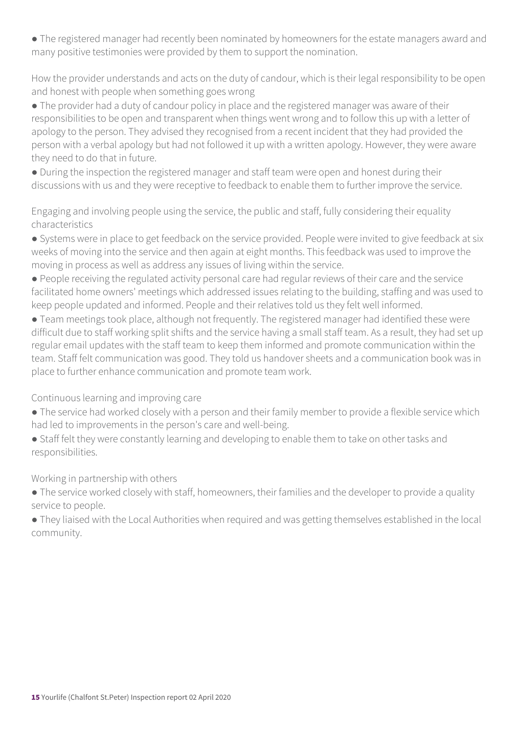● The registered manager had recently been nominated by homeowners for the estate managers award and many positive testimonies were provided by them to support the nomination.

How the provider understands and acts on the duty of candour, which is their legal responsibility to be open and honest with people when something goes wrong

• The provider had a duty of candour policy in place and the registered manager was aware of their responsibilities to be open and transparent when things went wrong and to follow this up with a letter of apology to the person. They advised they recognised from a recent incident that they had provided the person with a verbal apology but had not followed it up with a written apology. However, they were aware they need to do that in future.

● During the inspection the registered manager and staff team were open and honest during their discussions with us and they were receptive to feedback to enable them to further improve the service.

Engaging and involving people using the service, the public and staff, fully considering their equality characteristics

● Systems were in place to get feedback on the service provided. People were invited to give feedback at six weeks of moving into the service and then again at eight months. This feedback was used to improve the moving in process as well as address any issues of living within the service.

● People receiving the regulated activity personal care had regular reviews of their care and the service facilitated home owners' meetings which addressed issues relating to the building, staffing and was used to keep people updated and informed. People and their relatives told us they felt well informed.

● Team meetings took place, although not frequently. The registered manager had identified these were difficult due to staff working split shifts and the service having a small staff team. As a result, they had set up regular email updates with the staff team to keep them informed and promote communication within the team. Staff felt communication was good. They told us handover sheets and a communication book was in place to further enhance communication and promote team work.

Continuous learning and improving care

- The service had worked closely with a person and their family member to provide a flexible service which had led to improvements in the person's care and well-being.
- Staff felt they were constantly learning and developing to enable them to take on other tasks and responsibilities.

Working in partnership with others

• The service worked closely with staff, homeowners, their families and the developer to provide a quality service to people.

● They liaised with the Local Authorities when required and was getting themselves established in the local community.